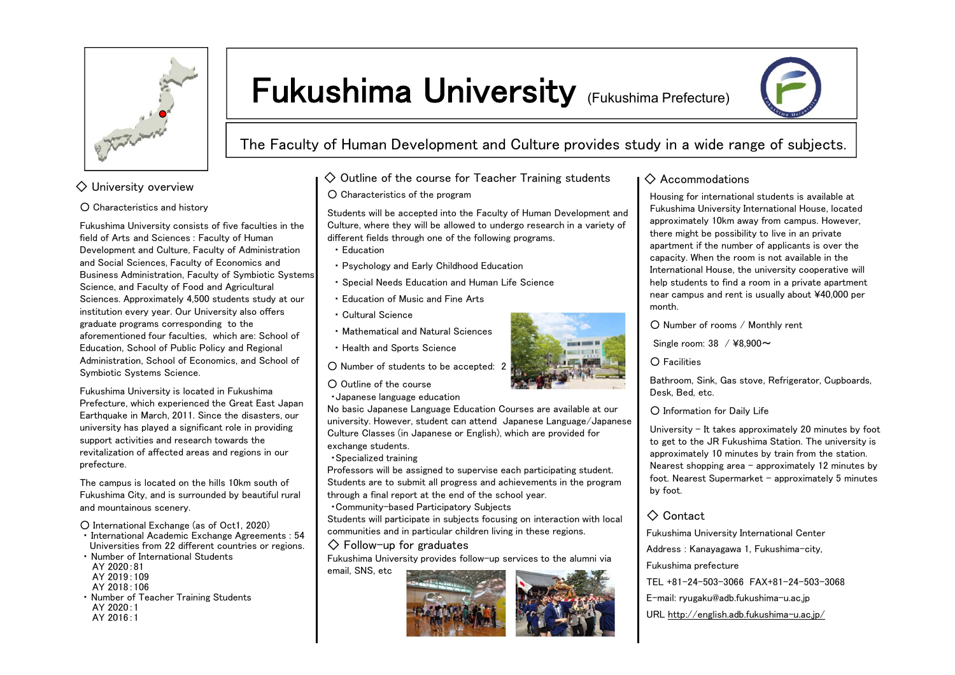

# Fukushima University (Fukushima Prefecture)



The Faculty of Human Development and Culture provides study in a wide range of subjects.

#### $\diamondsuit$  University overview

#### ○ Characteristics and history

Fukushima University consists of five faculties in the field of Arts and Sciences : Faculty of Human Development and Culture, Faculty of Administration and Social Sciences, Faculty of Economics and Business Administration, Faculty of Symbiotic Systems Science, and Faculty of Food and Agricultural Sciences. Approximately 4,500 students study at our institution every year. Our University also offers graduate programs corresponding to the aforementioned four faculties, which are: School of Education, School of Public Policy and Regional Administration, School of Economics, and School of Symbiotic Systems Science.

Fukushima University is located in Fukushima Prefecture, which experienced the Great East Japan Earthquake in March, 2011. Since the disasters, our university has played a significant role in providing support activities and research towards the revitalization of affected areas and regions in our prefecture.

The campus is located on the hills 10km south of Fukushima City, and is surrounded by beautiful rural and mountainous scenery.

○ International Exchange (as of Oct1, 2020)

- ・ International Academic Exchange Agreements : 54 Universities from 22 different countries or regions.
- ・ Number of International Students AY 2020:81
- AY 2019:109
- AY 2018:106
- ・ Number of Teacher Training Students AY 2020:1 AY 2016:1

### $\Diamond$  Outline of the course for Teacher Training students  $\Box$  Accommodations ○ Characteristics of the program

Students will be accepted into the Faculty of Human Development and Culture, where they will be allowed to undergo research in a variety of different fields through one of the following programs.

- ・ Education
- ・ Psychology and Early Childhood Education
- ・ Special Needs Education and Human Life Science
- ・ Education of Music and Fine Arts
- ・ Cultural Science
- ・ Mathematical and Natural Sciences
- ・ Health and Sports Science

○ Number of students to be accepted: 2

- Outline of the course
- ・Japanese language education

No basic Japanese Language Education Courses are available at our university. However, student can attend Japanese Language/Japanese Culture Classes (in Japanese or English), which are provided for exchange students.

・Specialized training

Professors will be assigned to supervise each participating student. Students are to submit all progress and achievements in the program through a final report at the end of the school year.

・Community-based Participatory Subjects

Students will participate in subjects focusing on interaction with local communities and in particular children living in these regions.

#### $\Diamond$  Follow-up for graduates

Fukushima University provides follow-up services to the alumni via email, SNS, etc



Housing for international students is available at Fukushima University International House, located approximately 10km away from campus. However, there might be possibility to live in an private apartment if the number of applicants is over the capacity. When the room is not available in the International House, the university cooperative will help students to find a room in a private apartment near campus and rent is usually about ¥40,000 per month.

○ Number of rooms / Monthly rent

Single room: 38 / ¥8,900~

○ Facilities

Bathroom, Sink, Gas stove, Refrigerator, Cupboards, Desk, Bed, etc.

○ Information for Daily Life

University – It takes approximately 20 minutes by foot to get to the JR Fukushima Station. The university is approximately 10 minutes by train from the station. Nearest shopping area  $-$  approximately 12 minutes by foot. Nearest Supermarket – approximately 5 minutes by foot.

## ◇ Contact

Fukushima University International Center

Address : Kanayagawa 1, Fukushima-city,

Fukushima prefecture

- TEL +81-24-503-3066 FAX+81-24-503-3068
- E-mail: ryugaku@adb.fukushima-u.ac.jp
- URL http://english.adb.fukushima-u.ac.jp/



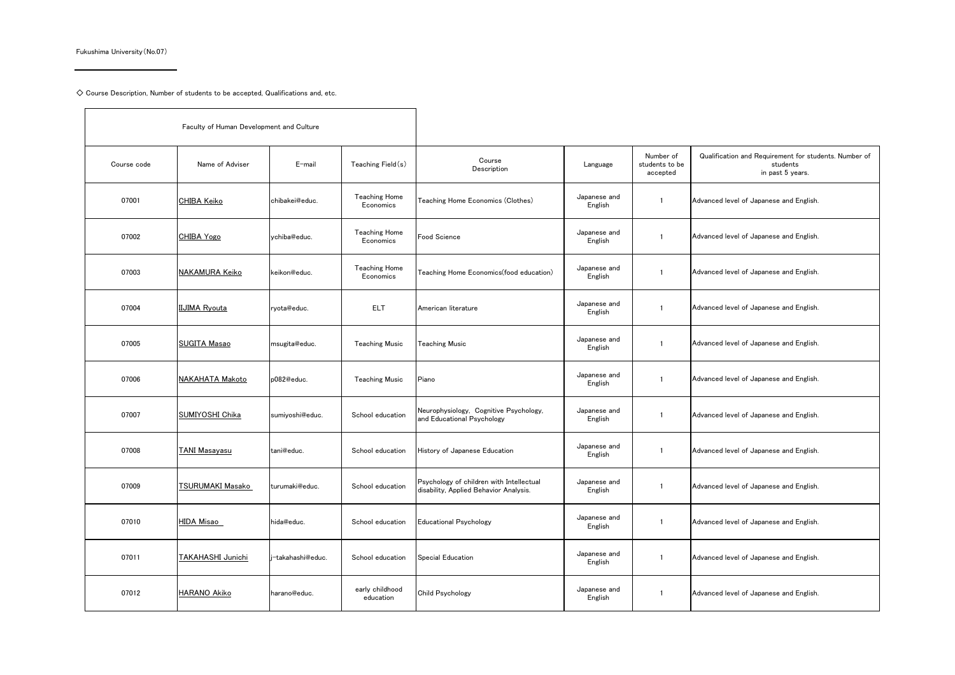Fukushima University(No.07)

 $\blacksquare$ 

 $\diamondsuit$  Course Description, Number of students to be accepted, Qualifications and, etc.

| Faculty of Human Development and Culture |                      |                   |                                   |                                                                                    |                         |                                         |                                                                                       |
|------------------------------------------|----------------------|-------------------|-----------------------------------|------------------------------------------------------------------------------------|-------------------------|-----------------------------------------|---------------------------------------------------------------------------------------|
| Course code                              | Name of Adviser      | E-mail            | Teaching Field(s)                 | Course<br>Description                                                              | Language                | Number of<br>students to be<br>accepted | Qualification and Requirement for students. Number of<br>students<br>in past 5 years. |
| 07001                                    | <b>CHIBA Keiko</b>   | chibakei@educ.    | <b>Teaching Home</b><br>Economics | Teaching Home Economics (Clothes)                                                  | Japanese and<br>English | $\mathbf{1}$                            | Advanced level of Japanese and English.                                               |
| 07002                                    | CHIBA Yogo           | vchiba@educ.      | <b>Teaching Home</b><br>Economics | Food Science                                                                       | Japanese and<br>English | $\mathbf{1}$                            | Advanced level of Japanese and English.                                               |
| 07003                                    | NAKAMURA Keiko       | keikon@educ.      | <b>Teaching Home</b><br>Economics | Teaching Home Economics(food education)                                            | Japanese and<br>English | $\mathbf{1}$                            | Advanced level of Japanese and English.                                               |
| 07004                                    | <b>IIJIMA Ryouta</b> | ryota@educ.       | ELT.                              | American literature                                                                | Japanese and<br>English | $\mathbf{1}$                            | Advanced level of Japanese and English.                                               |
| 07005                                    | <b>SUGITA Masao</b>  | msugita@educ.     | <b>Teaching Music</b>             | <b>Teaching Music</b>                                                              | Japanese and<br>English | $\mathbf{1}$                            | Advanced level of Japanese and English.                                               |
| 07006                                    | NAKAHATA Makoto      | p082@educ.        | <b>Teaching Music</b>             | Piano                                                                              | Japanese and<br>English | $\mathbf{1}$                            | Advanced level of Japanese and English.                                               |
| 07007                                    | SUMIYOSHI Chika      | sumiyoshi@educ.   | School education                  | Neurophysiology, Cognitive Psychology,<br>and Educational Psychology               | Japanese and<br>English | $\mathbf{1}$                            | Advanced level of Japanese and English.                                               |
| 07008                                    | <b>TANI Masavasu</b> | tani@educ.        | School education                  | History of Japanese Education                                                      | Japanese and<br>English | $\mathbf{1}$                            | Advanced level of Japanese and English.                                               |
| 07009                                    | TSURUMAKI Masako     | turumaki@educ.    | School education                  | Psychology of children with Intellectual<br>disability, Applied Behavior Analysis. | Japanese and<br>English | $\mathbf{1}$                            | Advanced level of Japanese and English.                                               |
| 07010                                    | <b>HIDA Misao</b>    | hida@educ.        | School education                  | <b>Educational Psychology</b>                                                      | Japanese and<br>English | $\mathbf{1}$                            | Advanced level of Japanese and English.                                               |
| 07011                                    | TAKAHASHI Junichi    | i-takahashi@educ. | School education                  | Special Education                                                                  | Japanese and<br>English | $\mathbf{1}$                            | Advanced level of Japanese and English.                                               |
| 07012                                    | <b>HARANO Akiko</b>  | harano@educ.      | early childhood<br>education      | <b>Child Psychology</b>                                                            | Japanese and<br>English | $\overline{1}$                          | Advanced level of Japanese and English.                                               |

Ť.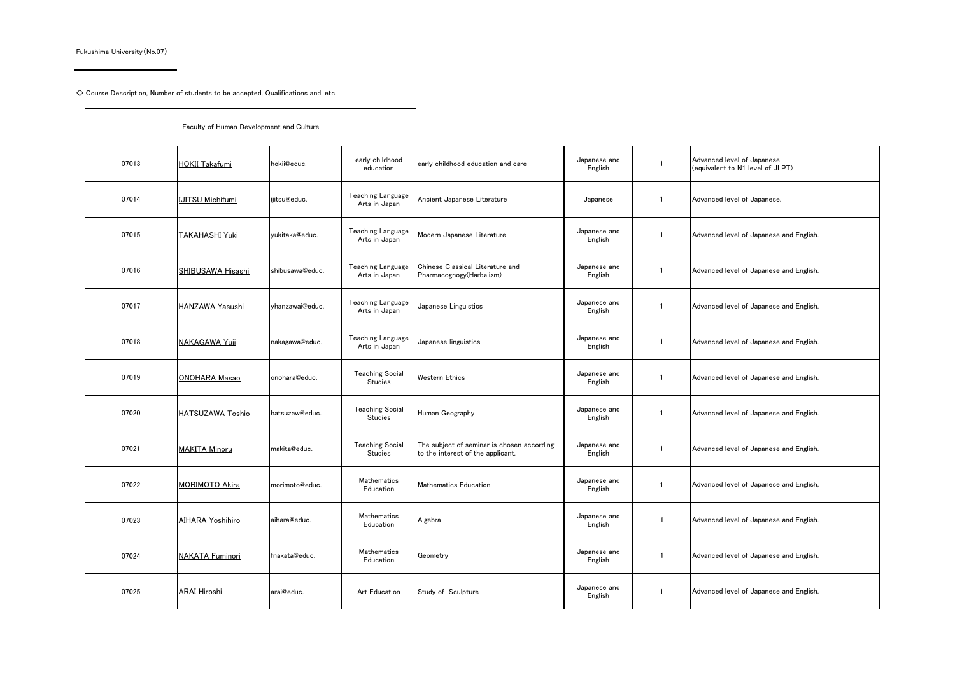Fukushima University(No.07)

 $\mathbf{r}$ 

 $\diamondsuit$  Course Description, Number of students to be accepted, Qualifications and, etc.

| Faculty of Human Development and Culture |                         |                 |                                           |                                                                                 |                         |                |                                                                |
|------------------------------------------|-------------------------|-----------------|-------------------------------------------|---------------------------------------------------------------------------------|-------------------------|----------------|----------------------------------------------------------------|
| 07013                                    | <b>HOKII Takafumi</b>   | hokii@educ.     | early childhood<br>education              | early childhood education and care                                              | Japanese and<br>English | $\mathbf{1}$   | Advanced level of Japanese<br>(equivalent to N1 level of JLPT) |
| 07014                                    | <b>IJITSU Michifumi</b> | iiitsu@educ.    | Teaching Language<br>Arts in Japan        | Ancient Japanese Literature                                                     | Japanese                | $\mathbf{1}$   | Advanced level of Japanese.                                    |
| 07015                                    | <b>TAKAHASHI Yuki</b>   | vukitaka@educ.  | Teaching Language<br>Arts in Japan        | Modern Japanese Literature                                                      | Japanese and<br>English | $\overline{1}$ | Advanced level of Japanese and English.                        |
| 07016                                    | SHIBUSAWA Hisashi       | shibusawa@educ. | <b>Teaching Language</b><br>Arts in Japan | Chinese Classical Literature and<br>Pharmacognogy(Harbalism)                    | Japanese and<br>English | $\overline{1}$ | Advanced level of Japanese and English.                        |
| 07017                                    | HANZAWA Yasushi         | vhanzawai@educ. | <b>Teaching Language</b><br>Arts in Japan | Japanese Linguistics                                                            | Japanese and<br>English | $\overline{1}$ | Advanced level of Japanese and English.                        |
| 07018                                    | NAKAGAWA Yuii           | nakagawa@educ.  | <b>Teaching Language</b><br>Arts in Japan | Japanese linguistics                                                            | Japanese and<br>English | $\mathbf{1}$   | Advanced level of Japanese and English.                        |
| 07019                                    | <b>ONOHARA Masao</b>    | onohara@educ.   | <b>Teaching Social</b><br>Studies         | Western Ethics                                                                  | Japanese and<br>English | $\mathbf{1}$   | Advanced level of Japanese and English.                        |
| 07020                                    | <b>HATSUZAWA Toshio</b> | hatsuzaw@educ.  | <b>Teaching Social</b><br>Studies         | Human Geography                                                                 | Japanese and<br>English | $\overline{1}$ | Advanced level of Japanese and English.                        |
| 07021                                    | <b>MAKITA Minoru</b>    | makita@educ.    | <b>Teaching Social</b><br>Studies         | The subject of seminar is chosen according<br>to the interest of the applicant. | Japanese and<br>English | $\mathbf{1}$   | Advanced level of Japanese and English.                        |
| 07022                                    | <b>MORIMOTO Akira</b>   | morimoto@educ.  | Mathematics<br>Education                  | Mathematics Education                                                           | Japanese and<br>English | $\mathbf{1}$   | Advanced level of Japanese and English,                        |
| 07023                                    | <b>AIHARA Yoshihiro</b> | aihara@educ.    | Mathematics<br>Education                  | Algebra                                                                         | Japanese and<br>English | $\mathbf{1}$   | Advanced level of Japanese and English.                        |
| 07024                                    | <b>NAKATA Fuminori</b>  | fnakata@educ.   | Mathematics<br>Education                  | Geometry                                                                        | Japanese and<br>English | $\mathbf{1}$   | Advanced level of Japanese and English.                        |
| 07025                                    | ARAI Hiroshi            | arai@educ.      | Art Education                             | Study of Sculpture                                                              | Japanese and<br>English | $\mathbf{1}$   | Advanced level of Japanese and English.                        |